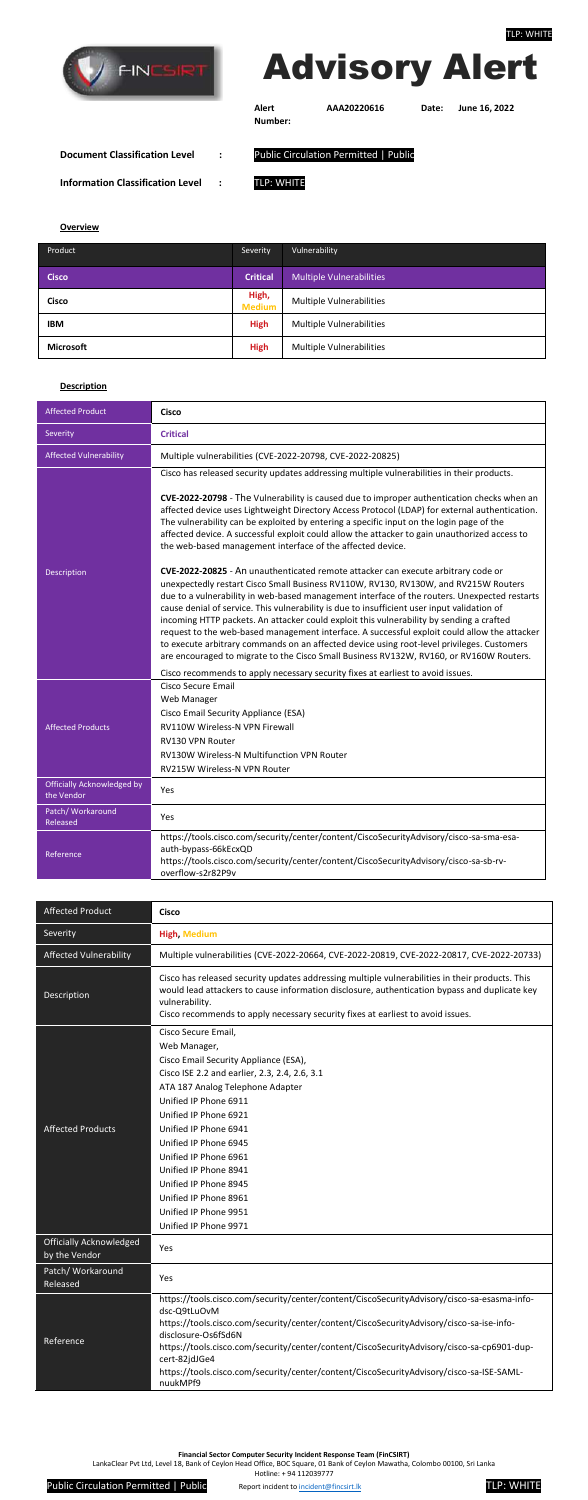

**Financial Sector Computer Security Incident Response Team (FinCSIRT)**

LankaClear Pvt Ltd, Level 18, Bank of Ceylon Head Office, BOC Square, 01 Bank of Ceylon Mawatha, Colombo 00100, Sri Lanka

Hotline: + 94 112039777



| <b>Affected Product</b>                         | <b>Cisco</b>                                                                                                                                                                                                                                                                                                                                                                                                                                          |  |  |
|-------------------------------------------------|-------------------------------------------------------------------------------------------------------------------------------------------------------------------------------------------------------------------------------------------------------------------------------------------------------------------------------------------------------------------------------------------------------------------------------------------------------|--|--|
| Severity                                        | <b>High, Medium</b>                                                                                                                                                                                                                                                                                                                                                                                                                                   |  |  |
| <b>Affected Vulnerability</b>                   | Multiple vulnerabilities (CVE-2022-20664, CVE-2022-20819, CVE-2022-20817, CVE-2022-20733)                                                                                                                                                                                                                                                                                                                                                             |  |  |
| Description                                     | Cisco has released security updates addressing multiple vulnerabilities in their products. This<br>would lead attackers to cause information disclosure, authentication bypass and duplicate key<br>vulnerability.<br>Cisco recommends to apply necessary security fixes at earliest to avoid issues.                                                                                                                                                 |  |  |
| <b>Affected Products</b>                        | Cisco Secure Email,<br>Web Manager,<br>Cisco Email Security Appliance (ESA),<br>Cisco ISE 2.2 and earlier, 2.3, 2.4, 2.6, 3.1<br>ATA 187 Analog Telephone Adapter<br>Unified IP Phone 6911<br>Unified IP Phone 6921<br>Unified IP Phone 6941<br>Unified IP Phone 6945<br>Unified IP Phone 6961<br>Unified IP Phone 8941<br>Unified IP Phone 8945<br>Unified IP Phone 8961<br>Unified IP Phone 9951<br>Unified IP Phone 9971                           |  |  |
| <b>Officially Acknowledged</b><br>by the Vendor | Yes                                                                                                                                                                                                                                                                                                                                                                                                                                                   |  |  |
| Patch/ Workaround<br>Released                   | Yes                                                                                                                                                                                                                                                                                                                                                                                                                                                   |  |  |
| Reference                                       | https://tools.cisco.com/security/center/content/CiscoSecurityAdvisory/cisco-sa-esasma-info-<br>dsc-Q9tLuOvM<br>https://tools.cisco.com/security/center/content/CiscoSecurityAdvisory/cisco-sa-ise-info-<br>disclosure-Os6fSd6N<br>https://tools.cisco.com/security/center/content/CiscoSecurityAdvisory/cisco-sa-cp6901-dup-<br>cert-82jdJGe4<br>https://tools.cisco.com/security/center/content/CiscoSecurityAdvisory/cisco-sa-ISE-SAML-<br>nuukMPf9 |  |  |

## Advisory Alert

**Alert Number:**

**AAA20220616 Date: June 16, 2022**

**Document Classification Level :** Public Circulation Permitted | Public **Information Classification Level :** TLP: WHITE

**Overview**

| Product          | <b>Severity</b>        | Vulnerability                   |
|------------------|------------------------|---------------------------------|
| <b>Cisco</b>     | <b>Critical</b>        | <b>Multiple Vulnerabilities</b> |
| <b>Cisco</b>     | High,<br><b>Medium</b> | <b>Multiple Vulnerabilities</b> |
| <b>IBM</b>       | <b>High</b>            | <b>Multiple Vulnerabilities</b> |
| <b>Microsoft</b> | <b>High</b>            | Multiple Vulnerabilities        |

## **Description**

| <b>Affected Product</b>                         | <b>Cisco</b>                                                                                                                                                                                                                                                                                                                                                                                                                                                                                                                                                                                                                                                                                                                      |  |
|-------------------------------------------------|-----------------------------------------------------------------------------------------------------------------------------------------------------------------------------------------------------------------------------------------------------------------------------------------------------------------------------------------------------------------------------------------------------------------------------------------------------------------------------------------------------------------------------------------------------------------------------------------------------------------------------------------------------------------------------------------------------------------------------------|--|
| Severity                                        | <b>Critical</b>                                                                                                                                                                                                                                                                                                                                                                                                                                                                                                                                                                                                                                                                                                                   |  |
| <b>Affected Vulnerability</b>                   | Multiple vulnerabilities (CVE-2022-20798, CVE-2022-20825)                                                                                                                                                                                                                                                                                                                                                                                                                                                                                                                                                                                                                                                                         |  |
| Description                                     | Cisco has released security updates addressing multiple vulnerabilities in their products.<br>CVE-2022-20798 - The Vulnerability is caused due to improper authentication checks when an<br>affected device uses Lightweight Directory Access Protocol (LDAP) for external authentication.<br>The vulnerability can be exploited by entering a specific input on the login page of the<br>affected device. A successful exploit could allow the attacker to gain unauthorized access to<br>the web-based management interface of the affected device.<br>CVE-2022-20825 - An unauthenticated remote attacker can execute arbitrary code or<br>unexpectedly restart Cisco Small Business RV110W, RV130, RV130W, and RV215W Routers |  |
|                                                 | due to a vulnerability in web-based management interface of the routers. Unexpected restarts<br>cause denial of service. This vulnerability is due to insufficient user input validation of<br>incoming HTTP packets. An attacker could exploit this vulnerability by sending a crafted<br>request to the web-based management interface. A successful exploit could allow the attacker<br>to execute arbitrary commands on an affected device using root-level privileges. Customers<br>are encouraged to migrate to the Cisco Small Business RV132W, RV160, or RV160W Routers.<br>Cisco recommends to apply necessary security fixes at earliest to avoid issues.                                                               |  |
| <b>Affected Products</b>                        | <b>Cisco Secure Email</b><br>Web Manager<br>Cisco Email Security Appliance (ESA)<br>RV110W Wireless-N VPN Firewall<br>RV130 VPN Router<br><b>RV130W Wireless-N Multifunction VPN Router</b><br>RV215W Wireless-N VPN Router                                                                                                                                                                                                                                                                                                                                                                                                                                                                                                       |  |
| <b>Officially Acknowledged by</b><br>the Vendor | Yes                                                                                                                                                                                                                                                                                                                                                                                                                                                                                                                                                                                                                                                                                                                               |  |
| Patch/ Workaround<br>Released                   | Yes                                                                                                                                                                                                                                                                                                                                                                                                                                                                                                                                                                                                                                                                                                                               |  |
| Reference                                       | https://tools.cisco.com/security/center/content/CiscoSecurityAdvisory/cisco-sa-sma-esa-<br>auth-bypass-66kEcxQD<br>https://tools.cisco.com/security/center/content/CiscoSecurityAdvisory/cisco-sa-sb-rv-<br>overflow-s2r82P9v                                                                                                                                                                                                                                                                                                                                                                                                                                                                                                     |  |